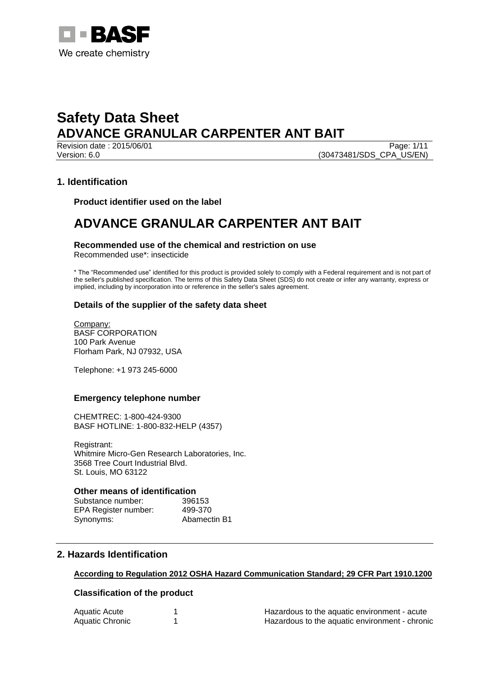

Revision date : 2015/06/01 Version: 6.0 (30473481/SDS\_CPA\_US/EN)

### **1. Identification**

**Product identifier used on the label**

## **ADVANCE GRANULAR CARPENTER ANT BAIT**

### **Recommended use of the chemical and restriction on use**

Recommended use\*: insecticide

\* The "Recommended use" identified for this product is provided solely to comply with a Federal requirement and is not part of the seller's published specification. The terms of this Safety Data Sheet (SDS) do not create or infer any warranty, express or implied, including by incorporation into or reference in the seller's sales agreement.

### **Details of the supplier of the safety data sheet**

Company: BASF CORPORATION 100 Park Avenue Florham Park, NJ 07932, USA

Telephone: +1 973 245-6000

### **Emergency telephone number**

CHEMTREC: 1-800-424-9300 BASF HOTLINE: 1-800-832-HELP (4357)

Registrant: Whitmire Micro-Gen Research Laboratories, Inc. 3568 Tree Court Industrial Blvd. St. Louis, MO 63122

### **Other means of identification**

Substance number: 396153 EPA Register number: 499-370 Synonyms: Abamectin B1

### **2. Hazards Identification**

### **According to Regulation 2012 OSHA Hazard Communication Standard; 29 CFR Part 1910.1200**

### **Classification of the product**

| Aquatic Acute   | Hazardous to the aquatic environment - acute   |
|-----------------|------------------------------------------------|
| Aquatic Chronic | Hazardous to the aquatic environment - chronic |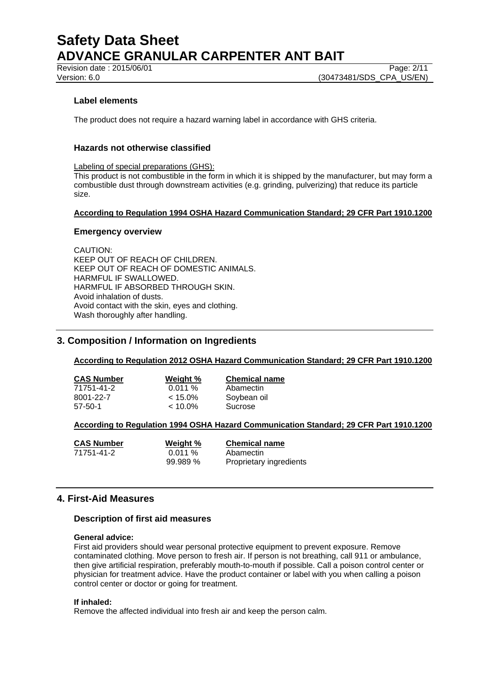Revision date : 2015/06/01 Page: 2/11

Version: 6.0 **(30473481/SDS\_CPA\_US/EN)** 

### **Label elements**

The product does not require a hazard warning label in accordance with GHS criteria.

### **Hazards not otherwise classified**

Labeling of special preparations (GHS):

This product is not combustible in the form in which it is shipped by the manufacturer, but may form a combustible dust through downstream activities (e.g. grinding, pulverizing) that reduce its particle size.

### **According to Regulation 1994 OSHA Hazard Communication Standard; 29 CFR Part 1910.1200**

### **Emergency overview**

CAUTION: KEEP OUT OF REACH OF CHILDREN. KEEP OUT OF REACH OF DOMESTIC ANIMALS. HARMFUL IF SWALLOWED. HARMFUL IF ABSORBED THROUGH SKIN. Avoid inhalation of dusts. Avoid contact with the skin, eyes and clothing. Wash thoroughly after handling.

### **3. Composition / Information on Ingredients**

### **According to Regulation 2012 OSHA Hazard Communication Standard; 29 CFR Part 1910.1200**

| <b>CAS Number</b> | Weight %   | <b>Chemical name</b> |
|-------------------|------------|----------------------|
| 71751-41-2        | 0.011%     | Abamectin            |
| 8001-22-7         | $< 15.0\%$ | Soybean oil          |
| $57-50-1$         | $< 10.0\%$ | Sucrose              |

### **According to Regulation 1994 OSHA Hazard Communication Standard; 29 CFR Part 1910.1200**

| <b>CAS Number</b> | Weight % | <b>Chemical name</b>    |
|-------------------|----------|-------------------------|
| 71751-41-2        | 0.011%   | Abamectin               |
|                   | 99.989%  | Proprietary ingredients |

### **4. First-Aid Measures**

### **Description of first aid measures**

### **General advice:**

First aid providers should wear personal protective equipment to prevent exposure. Remove contaminated clothing. Move person to fresh air. If person is not breathing, call 911 or ambulance, then give artificial respiration, preferably mouth-to-mouth if possible. Call a poison control center or physician for treatment advice. Have the product container or label with you when calling a poison control center or doctor or going for treatment.

### **If inhaled:**

Remove the affected individual into fresh air and keep the person calm.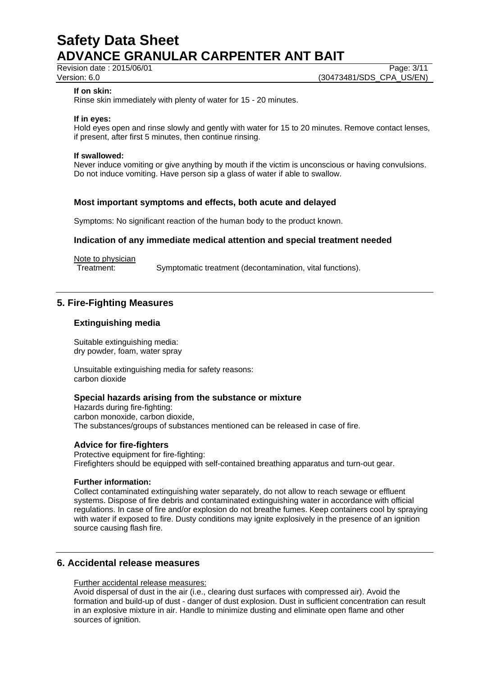Revision date : 2015/06/01 Page: 3/11<br>Version: 6.0 (30473481/SDS\_CPA\_US/EN) (30473481/SDS CPA US/EN)

### **If on skin:**

Rinse skin immediately with plenty of water for 15 - 20 minutes.

### **If in eyes:**

Hold eyes open and rinse slowly and gently with water for 15 to 20 minutes. Remove contact lenses, if present, after first 5 minutes, then continue rinsing.

### **If swallowed:**

Never induce vomiting or give anything by mouth if the victim is unconscious or having convulsions. Do not induce vomiting. Have person sip a glass of water if able to swallow.

### **Most important symptoms and effects, both acute and delayed**

Symptoms: No significant reaction of the human body to the product known.

### **Indication of any immediate medical attention and special treatment needed**

Note to physician

Treatment: Symptomatic treatment (decontamination, vital functions).

### **5. Fire-Fighting Measures**

### **Extinguishing media**

Suitable extinguishing media: dry powder, foam, water spray

Unsuitable extinguishing media for safety reasons: carbon dioxide

### **Special hazards arising from the substance or mixture**

Hazards during fire-fighting: carbon monoxide, carbon dioxide, The substances/groups of substances mentioned can be released in case of fire.

### **Advice for fire-fighters**

Protective equipment for fire-fighting: Firefighters should be equipped with self-contained breathing apparatus and turn-out gear.

### **Further information:**

Collect contaminated extinguishing water separately, do not allow to reach sewage or effluent systems. Dispose of fire debris and contaminated extinguishing water in accordance with official regulations. In case of fire and/or explosion do not breathe fumes. Keep containers cool by spraying with water if exposed to fire. Dusty conditions may ignite explosively in the presence of an ignition source causing flash fire.

### **6. Accidental release measures**

Further accidental release measures:

Avoid dispersal of dust in the air (i.e., clearing dust surfaces with compressed air). Avoid the formation and build-up of dust - danger of dust explosion. Dust in sufficient concentration can result in an explosive mixture in air. Handle to minimize dusting and eliminate open flame and other sources of ignition.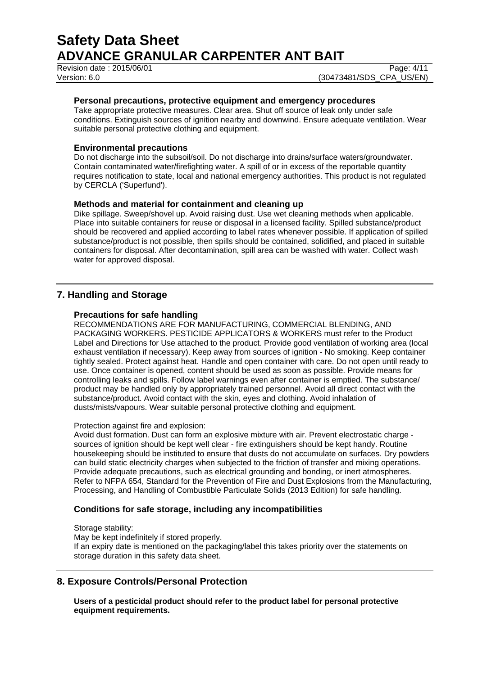Revision date : 2015/06/01 Page: 4/11

Version: 6.0 **(30473481/SDS\_CPA\_US/EN)** 

### **Personal precautions, protective equipment and emergency procedures**

Take appropriate protective measures. Clear area. Shut off source of leak only under safe conditions. Extinguish sources of ignition nearby and downwind. Ensure adequate ventilation. Wear suitable personal protective clothing and equipment.

### **Environmental precautions**

Do not discharge into the subsoil/soil. Do not discharge into drains/surface waters/groundwater. Contain contaminated water/firefighting water. A spill of or in excess of the reportable quantity requires notification to state, local and national emergency authorities. This product is not regulated by CERCLA ('Superfund').

### **Methods and material for containment and cleaning up**

Dike spillage. Sweep/shovel up. Avoid raising dust. Use wet cleaning methods when applicable. Place into suitable containers for reuse or disposal in a licensed facility. Spilled substance/product should be recovered and applied according to label rates whenever possible. If application of spilled substance/product is not possible, then spills should be contained, solidified, and placed in suitable containers for disposal. After decontamination, spill area can be washed with water. Collect wash water for approved disposal.

### **7. Handling and Storage**

### **Precautions for safe handling**

RECOMMENDATIONS ARE FOR MANUFACTURING, COMMERCIAL BLENDING, AND PACKAGING WORKERS. PESTICIDE APPLICATORS & WORKERS must refer to the Product Label and Directions for Use attached to the product. Provide good ventilation of working area (local exhaust ventilation if necessary). Keep away from sources of ignition - No smoking. Keep container tightly sealed. Protect against heat. Handle and open container with care. Do not open until ready to use. Once container is opened, content should be used as soon as possible. Provide means for controlling leaks and spills. Follow label warnings even after container is emptied. The substance/ product may be handled only by appropriately trained personnel. Avoid all direct contact with the substance/product. Avoid contact with the skin, eyes and clothing. Avoid inhalation of dusts/mists/vapours. Wear suitable personal protective clothing and equipment.

Protection against fire and explosion:

Avoid dust formation. Dust can form an explosive mixture with air. Prevent electrostatic charge sources of ignition should be kept well clear - fire extinguishers should be kept handy. Routine housekeeping should be instituted to ensure that dusts do not accumulate on surfaces. Dry powders can build static electricity charges when subjected to the friction of transfer and mixing operations. Provide adequate precautions, such as electrical grounding and bonding, or inert atmospheres. Refer to NFPA 654, Standard for the Prevention of Fire and Dust Explosions from the Manufacturing, Processing, and Handling of Combustible Particulate Solids (2013 Edition) for safe handling.

### **Conditions for safe storage, including any incompatibilities**

Storage stability:

May be kept indefinitely if stored properly. If an expiry date is mentioned on the packaging/label this takes priority over the statements on storage duration in this safety data sheet.

### **8. Exposure Controls/Personal Protection**

**Users of a pesticidal product should refer to the product label for personal protective equipment requirements.**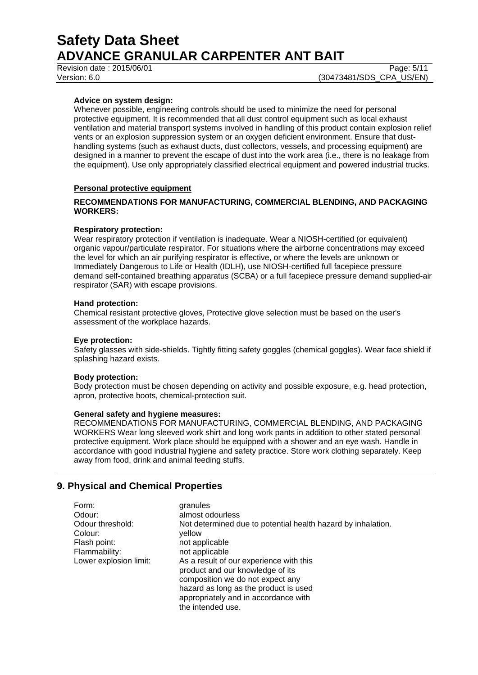Revision date : 2015/06/01 Page: 5/11

Version: 6.0 **(30473481/SDS\_CPA\_US/EN)** 

### **Advice on system design:**

Whenever possible, engineering controls should be used to minimize the need for personal protective equipment. It is recommended that all dust control equipment such as local exhaust ventilation and material transport systems involved in handling of this product contain explosion relief vents or an explosion suppression system or an oxygen deficient environment. Ensure that dusthandling systems (such as exhaust ducts, dust collectors, vessels, and processing equipment) are designed in a manner to prevent the escape of dust into the work area (i.e., there is no leakage from the equipment). Use only appropriately classified electrical equipment and powered industrial trucks.

### **Personal protective equipment**

### **RECOMMENDATIONS FOR MANUFACTURING, COMMERCIAL BLENDING, AND PACKAGING WORKERS:**

### **Respiratory protection:**

Wear respiratory protection if ventilation is inadequate. Wear a NIOSH-certified (or equivalent) organic vapour/particulate respirator. For situations where the airborne concentrations may exceed the level for which an air purifying respirator is effective, or where the levels are unknown or Immediately Dangerous to Life or Health (IDLH), use NIOSH-certified full facepiece pressure demand self-contained breathing apparatus (SCBA) or a full facepiece pressure demand supplied-air respirator (SAR) with escape provisions.

### **Hand protection:**

Chemical resistant protective gloves, Protective glove selection must be based on the user's assessment of the workplace hazards.

### **Eye protection:**

Safety glasses with side-shields. Tightly fitting safety goggles (chemical goggles). Wear face shield if splashing hazard exists.

### **Body protection:**

Body protection must be chosen depending on activity and possible exposure, e.g. head protection, apron, protective boots, chemical-protection suit.

### **General safety and hygiene measures:**

RECOMMENDATIONS FOR MANUFACTURING, COMMERCIAL BLENDING, AND PACKAGING WORKERS Wear long sleeved work shirt and long work pants in addition to other stated personal protective equipment. Work place should be equipped with a shower and an eye wash. Handle in accordance with good industrial hygiene and safety practice. Store work clothing separately. Keep away from food, drink and animal feeding stuffs.

### **9. Physical and Chemical Properties**

| Form:                  | granules                                                     |
|------------------------|--------------------------------------------------------------|
| Odour:                 | almost odourless                                             |
| Odour threshold:       | Not determined due to potential health hazard by inhalation. |
| Colour:                | vellow                                                       |
| Flash point:           | not applicable                                               |
| Flammability:          | not applicable                                               |
| Lower explosion limit: | As a result of our experience with this                      |
|                        | product and our knowledge of its                             |
|                        | composition we do not expect any                             |
|                        | hazard as long as the product is used                        |
|                        | appropriately and in accordance with                         |
|                        | the intended use.                                            |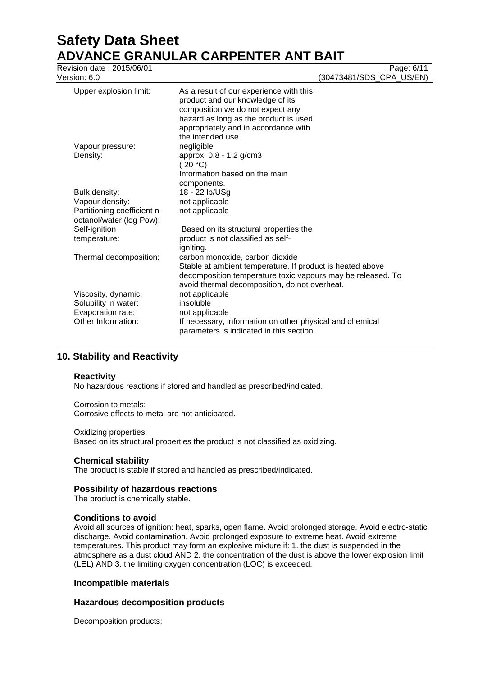# **Safety Data Sheet ADVANCE GRANULAR CARPENTER ANT BAIT**<br>Revision date : 2015/06/01

| Revision date: 2015/06/01<br>Version: 6.0                                              |                                                                                                                                                                                                                       | Page: 6/11<br>(30473481/SDS_CPA_US/EN) |  |
|----------------------------------------------------------------------------------------|-----------------------------------------------------------------------------------------------------------------------------------------------------------------------------------------------------------------------|----------------------------------------|--|
| Upper explosion limit:                                                                 | As a result of our experience with this<br>product and our knowledge of its<br>composition we do not expect any<br>hazard as long as the product is used<br>appropriately and in accordance with<br>the intended use. |                                        |  |
| Vapour pressure:<br>Density:                                                           | negligible<br>approx. 0.8 - 1.2 g/cm3<br>(20 °C)                                                                                                                                                                      |                                        |  |
|                                                                                        | Information based on the main<br>components.                                                                                                                                                                          |                                        |  |
| Bulk density:                                                                          | 18 - 22 lb/USg                                                                                                                                                                                                        |                                        |  |
| Vapour density:<br>Partitioning coefficient n-<br>octanol/water (log Pow):             | not applicable<br>not applicable                                                                                                                                                                                      |                                        |  |
| Self-ignition<br>temperature:                                                          | Based on its structural properties the<br>product is not classified as self-<br>igniting.                                                                                                                             |                                        |  |
| Thermal decomposition:                                                                 | carbon monoxide, carbon dioxide<br>Stable at ambient temperature. If product is heated above<br>decomposition temperature toxic vapours may be released. To<br>avoid thermal decomposition, do not overheat.          |                                        |  |
| Viscosity, dynamic:<br>Solubility in water:<br>Evaporation rate:<br>Other Information: | not applicable<br>insoluble<br>not applicable<br>If necessary, information on other physical and chemical                                                                                                             |                                        |  |
|                                                                                        | parameters is indicated in this section.                                                                                                                                                                              |                                        |  |

### **10. Stability and Reactivity**

### **Reactivity**

No hazardous reactions if stored and handled as prescribed/indicated.

Corrosion to metals: Corrosive effects to metal are not anticipated.

### Oxidizing properties:

Based on its structural properties the product is not classified as oxidizing.

### **Chemical stability**

The product is stable if stored and handled as prescribed/indicated.

### **Possibility of hazardous reactions**

The product is chemically stable.

### **Conditions to avoid**

Avoid all sources of ignition: heat, sparks, open flame. Avoid prolonged storage. Avoid electro-static discharge. Avoid contamination. Avoid prolonged exposure to extreme heat. Avoid extreme temperatures. This product may form an explosive mixture if: 1. the dust is suspended in the atmosphere as a dust cloud AND 2. the concentration of the dust is above the lower explosion limit (LEL) AND 3. the limiting oxygen concentration (LOC) is exceeded.

### **Incompatible materials**

### **Hazardous decomposition products**

Decomposition products: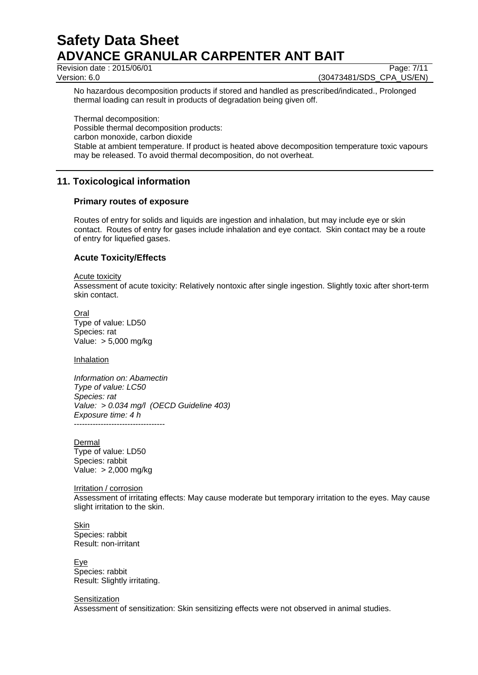Revision date : 2015/06/01 Page: 7/11

Version: 6.0 **(30473481/SDS\_CPA\_US/EN)** 

No hazardous decomposition products if stored and handled as prescribed/indicated., Prolonged thermal loading can result in products of degradation being given off.

Thermal decomposition: Possible thermal decomposition products: carbon monoxide, carbon dioxide Stable at ambient temperature. If product is heated above decomposition temperature toxic vapours may be released. To avoid thermal decomposition, do not overheat.

### **11. Toxicological information**

### **Primary routes of exposure**

Routes of entry for solids and liquids are ingestion and inhalation, but may include eye or skin contact. Routes of entry for gases include inhalation and eye contact. Skin contact may be a route of entry for liquefied gases.

### **Acute Toxicity/Effects**

### Acute toxicity Assessment of acute toxicity: Relatively nontoxic after single ingestion. Slightly toxic after short-term skin contact.

Oral Type of value: LD50 Species: rat Value: > 5,000 mg/kg

Inhalation

*Information on: Abamectin Type of value: LC50 Species: rat Value: > 0.034 mg/l (OECD Guideline 403) Exposure time: 4 h* ----------------------------------

**Dermal** Type of value: LD50 Species: rabbit Value: > 2,000 mg/kg

Irritation / corrosion Assessment of irritating effects: May cause moderate but temporary irritation to the eyes. May cause slight irritation to the skin.

**Skin** Species: rabbit Result: non-irritant

Eye Species: rabbit Result: Slightly irritating.

**Sensitization** Assessment of sensitization: Skin sensitizing effects were not observed in animal studies.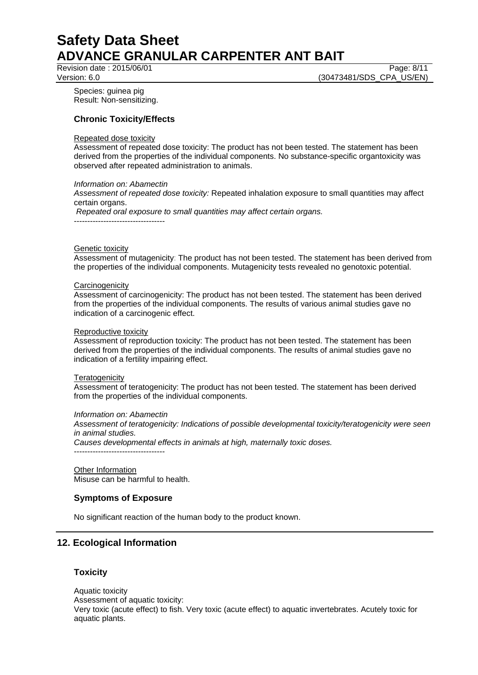Revision date : 2015/06/01 Page: 8/11

Version: 6.0 **(30473481/SDS\_CPA\_US/EN)** 

Species: guinea pig Result: Non-sensitizing.

### **Chronic Toxicity/Effects**

### Repeated dose toxicity

Assessment of repeated dose toxicity: The product has not been tested. The statement has been derived from the properties of the individual components. No substance-specific organtoxicity was observed after repeated administration to animals.

### *Information on: Abamectin*

*Assessment of repeated dose toxicity:* Repeated inhalation exposure to small quantities may affect certain organs.

*Repeated oral exposure to small quantities may affect certain organs.*

----------------------------------

### Genetic toxicity

Assessment of mutagenicity: The product has not been tested. The statement has been derived from the properties of the individual components. Mutagenicity tests revealed no genotoxic potential.

### **Carcinogenicity**

Assessment of carcinogenicity: The product has not been tested. The statement has been derived from the properties of the individual components. The results of various animal studies gave no indication of a carcinogenic effect.

### Reproductive toxicity

Assessment of reproduction toxicity: The product has not been tested. The statement has been derived from the properties of the individual components. The results of animal studies gave no indication of a fertility impairing effect.

### **Teratogenicity**

Assessment of teratogenicity: The product has not been tested. The statement has been derived from the properties of the individual components.

### *Information on: Abamectin*

----------------------------------

*Assessment of teratogenicity: Indications of possible developmental toxicity/teratogenicity were seen in animal studies.*

*Causes developmental effects in animals at high, maternally toxic doses.*

Other Information Misuse can be harmful to health.

### **Symptoms of Exposure**

No significant reaction of the human body to the product known.

### **12. Ecological Information**

### **Toxicity**

Aquatic toxicity Assessment of aquatic toxicity: Very toxic (acute effect) to fish. Very toxic (acute effect) to aquatic invertebrates. Acutely toxic for aquatic plants.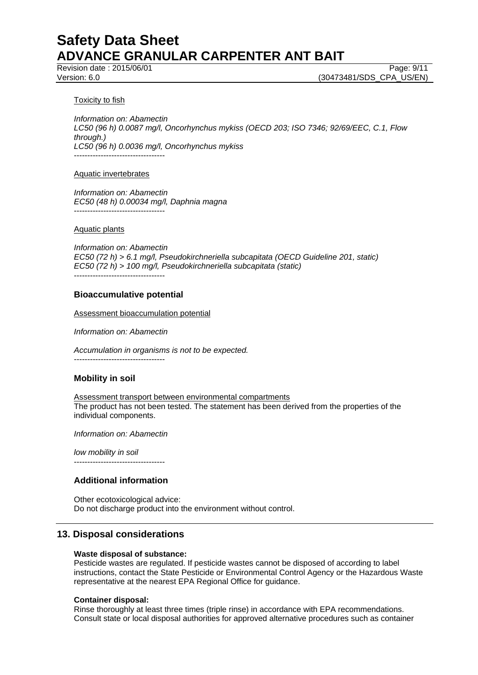Revision date : 2015/06/01 Page: 9/11

Version: 6.0 **(30473481/SDS\_CPA\_US/EN)** 

### Toxicity to fish

*Information on: Abamectin LC50 (96 h) 0.0087 mg/l, Oncorhynchus mykiss (OECD 203; ISO 7346; 92/69/EEC, C.1, Flow through.) LC50 (96 h) 0.0036 mg/l, Oncorhynchus mykiss* ----------------------------------

### Aquatic invertebrates

*Information on: Abamectin EC50 (48 h) 0.00034 mg/l, Daphnia magna* ----------------------------------

### Aquatic plants

*Information on: Abamectin EC50 (72 h) > 6.1 mg/l, Pseudokirchneriella subcapitata (OECD Guideline 201, static) EC50 (72 h) > 100 mg/l, Pseudokirchneriella subcapitata (static)*

----------------------------------

### **Bioaccumulative potential**

Assessment bioaccumulation potential

*Information on: Abamectin*

*Accumulation in organisms is not to be expected.* ----------------------------------

### **Mobility in soil**

Assessment transport between environmental compartments The product has not been tested. The statement has been derived from the properties of the individual components.

*Information on: Abamectin*

*low mobility in soil* ----------------------------------

### **Additional information**

Other ecotoxicological advice: Do not discharge product into the environment without control.

### **13. Disposal considerations**

### **Waste disposal of substance:**

Pesticide wastes are regulated. If pesticide wastes cannot be disposed of according to label instructions, contact the State Pesticide or Environmental Control Agency or the Hazardous Waste representative at the nearest EPA Regional Office for guidance.

### **Container disposal:**

Rinse thoroughly at least three times (triple rinse) in accordance with EPA recommendations. Consult state or local disposal authorities for approved alternative procedures such as container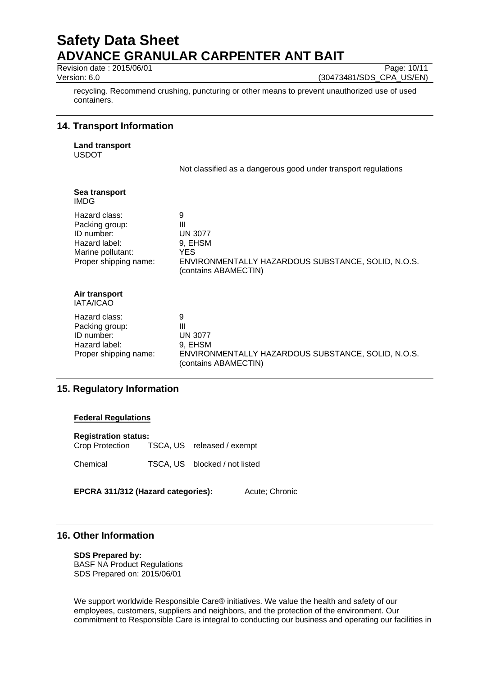Revision date : 2015/06/01 Page: 10/11

Version: 6.0 (30473481/SDS\_CPA\_US/EN)

recycling. Recommend crushing, puncturing or other means to prevent unauthorized use of used containers.

### **14. Transport Information**

**Land transport** USDOT

Not classified as a dangerous good under transport regulations

| Sea transport<br><b>IMDG</b>                                                                                 |                                                                                                                           |
|--------------------------------------------------------------------------------------------------------------|---------------------------------------------------------------------------------------------------------------------------|
| Hazard class:<br>Packing group:<br>ID number:<br>Hazard label:<br>Marine pollutant:<br>Proper shipping name: | 9<br>Ш<br><b>UN 3077</b><br>9, EHSM<br>YES.<br>ENVIRONMENTALLY HAZARDOUS SUBSTANCE, SOLID, N.O.S.<br>(contains ABAMECTIN) |
| Air transport<br><b>IATA/ICAO</b>                                                                            |                                                                                                                           |
| Hazard class:<br>Packing group:<br>ID number:<br>Hazard label:<br>Proper shipping name:                      | 9<br>Ш<br><b>UN 3077</b><br>9, EHSM<br>ENVIRONMENTALLY HAZARDOUS SUBSTANCE, SOLID, N.O.S.<br>(contains ABAMECTIN)         |

### **15. Regulatory Information**

### **Federal Regulations**

| <b>Registration status:</b> |  |                               |  |
|-----------------------------|--|-------------------------------|--|
| Crop Protection             |  | TSCA, US released / exempt    |  |
| Chemical                    |  | TSCA, US blocked / not listed |  |

**EPCRA 311/312 (Hazard categories):** Acute; Chronic

### **16. Other Information**

### **SDS Prepared by:**

BASF NA Product Regulations SDS Prepared on: 2015/06/01

We support worldwide Responsible Care® initiatives. We value the health and safety of our employees, customers, suppliers and neighbors, and the protection of the environment. Our commitment to Responsible Care is integral to conducting our business and operating our facilities in